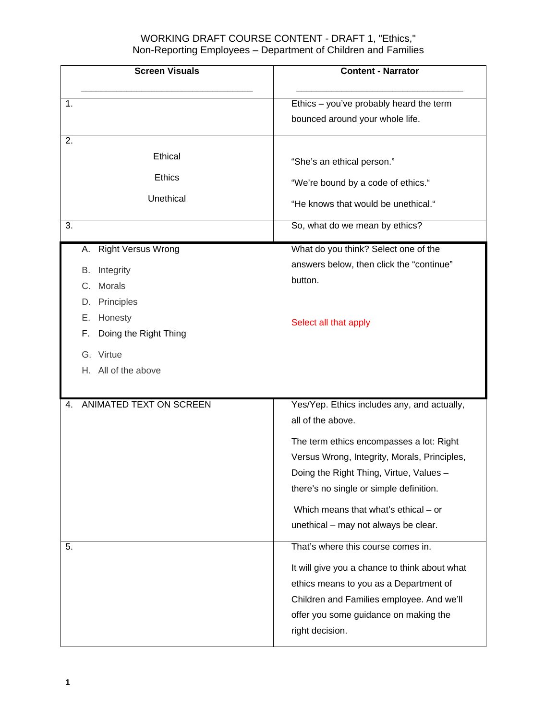| <b>Screen Visuals</b>                               | <b>Content - Narrator</b>                                                                                                                                                                        |
|-----------------------------------------------------|--------------------------------------------------------------------------------------------------------------------------------------------------------------------------------------------------|
| 1.                                                  | Ethics - you've probably heard the term                                                                                                                                                          |
|                                                     | bounced around your whole life.                                                                                                                                                                  |
| 2.<br>Ethical<br><b>Ethics</b><br>Unethical<br>3.   | "She's an ethical person."<br>"We're bound by a code of ethics."<br>"He knows that would be unethical."<br>So, what do we mean by ethics?                                                        |
| <b>Right Versus Wrong</b><br>А.                     | What do you think? Select one of the                                                                                                                                                             |
| Integrity<br>В.<br>Morals<br>C.<br>Principles<br>D. | answers below, then click the "continue"<br>button.                                                                                                                                              |
| Е.<br>Honesty<br>Doing the Right Thing<br>F.        | Select all that apply                                                                                                                                                                            |
| G. Virtue<br>H. All of the above                    |                                                                                                                                                                                                  |
| ANIMATED TEXT ON SCREEN<br>4.                       | Yes/Yep. Ethics includes any, and actually,<br>all of the above.                                                                                                                                 |
|                                                     | The term ethics encompasses a lot: Right<br>Versus Wrong, Integrity, Morals, Principles,<br>Doing the Right Thing, Virtue, Values -<br>there's no single or simple definition.                   |
|                                                     | Which means that what's ethical - or<br>unethical - may not always be clear.                                                                                                                     |
| 5.                                                  | That's where this course comes in.                                                                                                                                                               |
|                                                     | It will give you a chance to think about what<br>ethics means to you as a Department of<br>Children and Families employee. And we'll<br>offer you some guidance on making the<br>right decision. |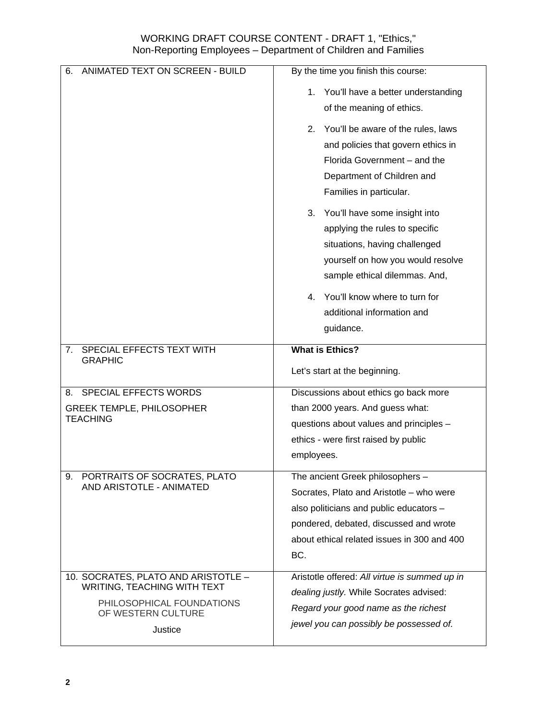| ANIMATED TEXT ON SCREEN - BUILD<br>6.           | By the time you finish this course:           |
|-------------------------------------------------|-----------------------------------------------|
|                                                 | You'll have a better understanding<br>1.      |
|                                                 | of the meaning of ethics.                     |
|                                                 | You'll be aware of the rules, laws<br>2.      |
|                                                 | and policies that govern ethics in            |
|                                                 | Florida Government - and the                  |
|                                                 | Department of Children and                    |
|                                                 | Families in particular.                       |
|                                                 | You'll have some insight into<br>3.           |
|                                                 | applying the rules to specific                |
|                                                 | situations, having challenged                 |
|                                                 | yourself on how you would resolve             |
|                                                 | sample ethical dilemmas. And,                 |
|                                                 | You'll know where to turn for<br>4.           |
|                                                 | additional information and                    |
|                                                 | guidance.                                     |
| SPECIAL EFFECTS TEXT WITH<br>7.                 | <b>What is Ethics?</b>                        |
| <b>GRAPHIC</b>                                  | Let's start at the beginning.                 |
| 8. SPECIAL EFFECTS WORDS                        | Discussions about ethics go back more         |
| <b>GREEK TEMPLE, PHILOSOPHER</b>                | than 2000 years. And guess what:              |
| <b>TEACHING</b>                                 | questions about values and principles -       |
|                                                 | ethics - were first raised by public          |
|                                                 | employees.                                    |
| PORTRAITS OF SOCRATES, PLATO<br>9.              | The ancient Greek philosophers -              |
| AND ARISTOTLE - ANIMATED                        | Socrates, Plato and Aristotle - who were      |
|                                                 | also politicians and public educators -       |
|                                                 | pondered, debated, discussed and wrote        |
|                                                 | about ethical related issues in 300 and 400   |
|                                                 | BC.                                           |
| 10. SOCRATES, PLATO AND ARISTOTLE -             | Aristotle offered: All virtue is summed up in |
| WRITING, TEACHING WITH TEXT                     | dealing justly. While Socrates advised:       |
| PHILOSOPHICAL FOUNDATIONS<br>OF WESTERN CULTURE | Regard your good name as the richest          |
| Justice                                         | jewel you can possibly be possessed of.       |
|                                                 |                                               |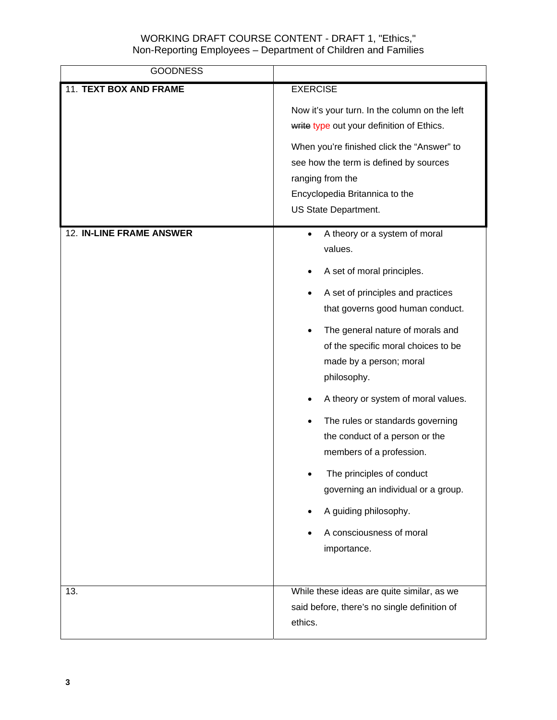| <b>GOODNESS</b>          |                                                                                                                                                                                                                                                                                                                                                                                                                                                                                                                                                                                 |
|--------------------------|---------------------------------------------------------------------------------------------------------------------------------------------------------------------------------------------------------------------------------------------------------------------------------------------------------------------------------------------------------------------------------------------------------------------------------------------------------------------------------------------------------------------------------------------------------------------------------|
| 11. TEXT BOX AND FRAME   | <b>EXERCISE</b><br>Now it's your turn. In the column on the left<br>write type out your definition of Ethics.<br>When you're finished click the "Answer" to<br>see how the term is defined by sources<br>ranging from the<br>Encyclopedia Britannica to the<br>US State Department.                                                                                                                                                                                                                                                                                             |
| 12. IN-LINE FRAME ANSWER | A theory or a system of moral<br>$\bullet$<br>values.<br>A set of moral principles.<br>A set of principles and practices<br>that governs good human conduct.<br>The general nature of morals and<br>$\bullet$<br>of the specific moral choices to be<br>made by a person; moral<br>philosophy.<br>A theory or system of moral values.<br>The rules or standards governing<br>the conduct of a person or the<br>members of a profession.<br>The principles of conduct<br>governing an individual or a group.<br>A guiding philosophy.<br>A consciousness of moral<br>importance. |
| 13.                      | While these ideas are quite similar, as we<br>said before, there's no single definition of<br>ethics.                                                                                                                                                                                                                                                                                                                                                                                                                                                                           |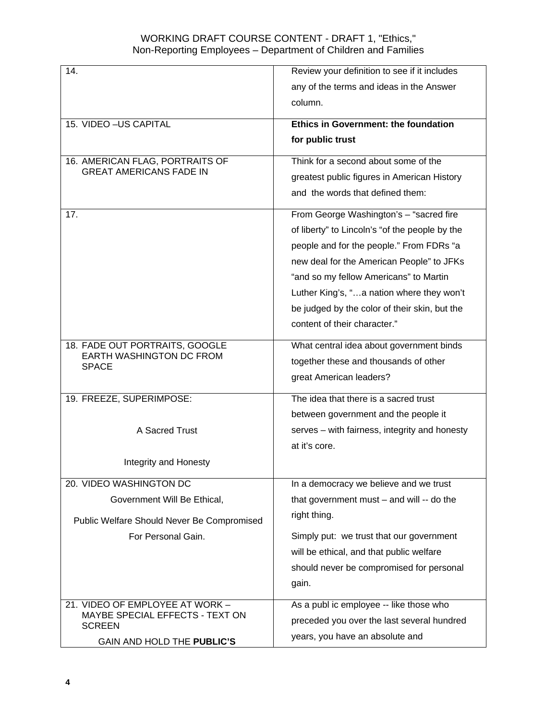| 14.                                              | Review your definition to see if it includes   |
|--------------------------------------------------|------------------------------------------------|
|                                                  | any of the terms and ideas in the Answer       |
|                                                  | column.                                        |
|                                                  |                                                |
| 15. VIDEO - US CAPITAL                           | <b>Ethics in Government: the foundation</b>    |
|                                                  | for public trust                               |
| 16. AMERICAN FLAG, PORTRAITS OF                  | Think for a second about some of the           |
| <b>GREAT AMERICANS FADE IN</b>                   | greatest public figures in American History    |
|                                                  | and the words that defined them:               |
| 17.                                              | From George Washington's - "sacred fire        |
|                                                  | of liberty" to Lincoln's "of the people by the |
|                                                  | people and for the people." From FDRs "a       |
|                                                  | new deal for the American People" to JFKs      |
|                                                  | "and so my fellow Americans" to Martin         |
|                                                  | Luther King's, "a nation where they won't      |
|                                                  | be judged by the color of their skin, but the  |
|                                                  | content of their character."                   |
| 18. FADE OUT PORTRAITS, GOOGLE                   |                                                |
| EARTH WASHINGTON DC FROM                         | What central idea about government binds       |
| <b>SPACE</b>                                     | together these and thousands of other          |
|                                                  | great American leaders?                        |
| 19. FREEZE, SUPERIMPOSE:                         | The idea that there is a sacred trust          |
|                                                  | between government and the people it           |
| A Sacred Trust                                   | serves - with fairness, integrity and honesty  |
|                                                  | at it's core.                                  |
| Integrity and Honesty                            |                                                |
| 20. VIDEO WASHINGTON DC                          | In a democracy we believe and we trust         |
| Government Will Be Ethical,                      | that government must $-$ and will $-$ do the   |
| Public Welfare Should Never Be Compromised       | right thing.                                   |
| For Personal Gain.                               | Simply put: we trust that our government       |
|                                                  | will be ethical, and that public welfare       |
|                                                  | should never be compromised for personal       |
|                                                  | gain.                                          |
|                                                  |                                                |
| 21. VIDEO OF EMPLOYEE AT WORK -                  | As a publ ic employee -- like those who        |
| MAYBE SPECIAL EFFECTS - TEXT ON<br><b>SCREEN</b> | preceded you over the last several hundred     |
| GAIN AND HOLD THE PUBLIC'S                       | years, you have an absolute and                |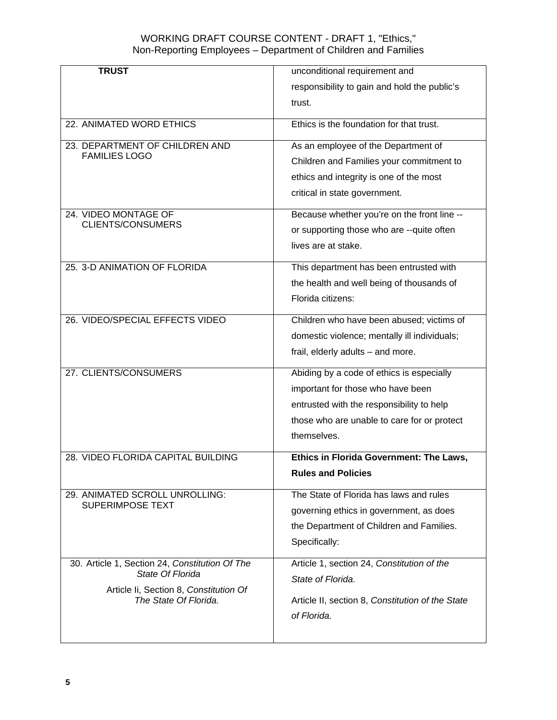| <b>TRUST</b>                                                    | unconditional requirement and                    |
|-----------------------------------------------------------------|--------------------------------------------------|
|                                                                 | responsibility to gain and hold the public's     |
|                                                                 | trust.                                           |
| 22. ANIMATED WORD ETHICS                                        | Ethics is the foundation for that trust.         |
| 23. DEPARTMENT OF CHILDREN AND                                  | As an employee of the Department of              |
| <b>FAMILIES LOGO</b>                                            | Children and Families your commitment to         |
|                                                                 | ethics and integrity is one of the most          |
|                                                                 | critical in state government.                    |
| 24. VIDEO MONTAGE OF                                            | Because whether you're on the front line --      |
| <b>CLIENTS/CONSUMERS</b>                                        | or supporting those who are --quite often        |
|                                                                 | lives are at stake.                              |
|                                                                 |                                                  |
| 25. 3-D ANIMATION OF FLORIDA                                    | This department has been entrusted with          |
|                                                                 | the health and well being of thousands of        |
|                                                                 | Florida citizens:                                |
| 26. VIDEO/SPECIAL EFFECTS VIDEO                                 | Children who have been abused; victims of        |
|                                                                 | domestic violence; mentally ill individuals;     |
|                                                                 | frail, elderly adults - and more.                |
| 27. CLIENTS/CONSUMERS                                           | Abiding by a code of ethics is especially        |
|                                                                 | important for those who have been                |
|                                                                 | entrusted with the responsibility to help        |
|                                                                 | those who are unable to care for or protect      |
|                                                                 | themselves.                                      |
| 28. VIDEO FLORIDA CAPITAL BUILDING                              | Ethics in Florida Government: The Laws,          |
|                                                                 | <b>Rules and Policies</b>                        |
| 29. ANIMATED SCROLL UNROLLING:                                  | The State of Florida has laws and rules          |
| <b>SUPERIMPOSE TEXT</b>                                         | governing ethics in government, as does          |
|                                                                 | the Department of Children and Families.         |
|                                                                 | Specifically:                                    |
| 30. Article 1, Section 24, Constitution Of The                  | Article 1, section 24, Constitution of the       |
| State Of Florida                                                | State of Florida.                                |
| Article Ii, Section 8, Constitution Of<br>The State Of Florida. | Article II, section 8, Constitution of the State |
|                                                                 | of Florida.                                      |
|                                                                 |                                                  |
|                                                                 |                                                  |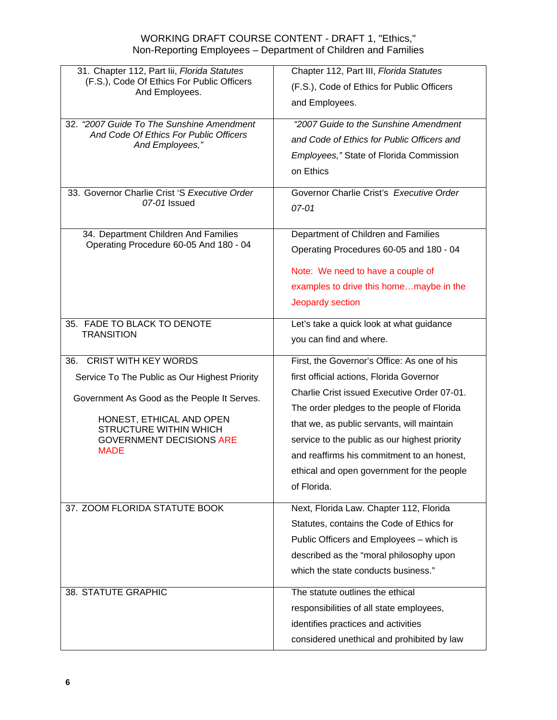| 31. Chapter 112, Part lii, Florida Statutes<br>(F.S.), Code Of Ethics For Public Officers | Chapter 112, Part III, Florida Statutes       |
|-------------------------------------------------------------------------------------------|-----------------------------------------------|
| And Employees.                                                                            | (F.S.), Code of Ethics for Public Officers    |
|                                                                                           | and Employees.                                |
| 32. "2007 Guide To The Sunshine Amendment                                                 | "2007 Guide to the Sunshine Amendment         |
| And Code Of Ethics For Public Officers<br>And Employees,"                                 | and Code of Ethics for Public Officers and    |
|                                                                                           | Employees," State of Florida Commission       |
|                                                                                           | on Ethics                                     |
| 33. Governor Charlie Crist 'S Executive Order                                             | Governor Charlie Crist's Executive Order      |
| 07-01 Issued                                                                              | 07-01                                         |
|                                                                                           |                                               |
| 34. Department Children And Families                                                      | Department of Children and Families           |
| Operating Procedure 60-05 And 180 - 04                                                    | Operating Procedures 60-05 and 180 - 04       |
|                                                                                           | Note: We need to have a couple of             |
|                                                                                           | examples to drive this homemaybe in the       |
|                                                                                           | Jeopardy section                              |
|                                                                                           |                                               |
| 35. FADE TO BLACK TO DENOTE<br><b>TRANSITION</b>                                          | Let's take a quick look at what guidance      |
|                                                                                           | you can find and where.                       |
| <b>CRIST WITH KEY WORDS</b><br>36.                                                        | First, the Governor's Office: As one of his   |
| Service To The Public as Our Highest Priority                                             | first official actions, Florida Governor      |
| Government As Good as the People It Serves.                                               | Charlie Crist issued Executive Order 07-01.   |
|                                                                                           | The order pledges to the people of Florida    |
| HONEST, ETHICAL AND OPEN<br><b>STRUCTURE WITHIN WHICH</b>                                 | that we, as public servants, will maintain    |
| <b>GOVERNMENT DECISIONS ARE</b>                                                           | service to the public as our highest priority |
| <b>MADE</b>                                                                               | and reaffirms his commitment to an honest,    |
|                                                                                           | ethical and open government for the people    |
|                                                                                           | of Florida.                                   |
| 37. ZOOM FLORIDA STATUTE BOOK                                                             | Next, Florida Law. Chapter 112, Florida       |
|                                                                                           | Statutes, contains the Code of Ethics for     |
|                                                                                           | Public Officers and Employees - which is      |
|                                                                                           | described as the "moral philosophy upon       |
|                                                                                           | which the state conducts business."           |
| 38. STATUTE GRAPHIC                                                                       | The statute outlines the ethical              |
|                                                                                           | responsibilities of all state employees,      |
|                                                                                           | identifies practices and activities           |
|                                                                                           | considered unethical and prohibited by law    |
|                                                                                           |                                               |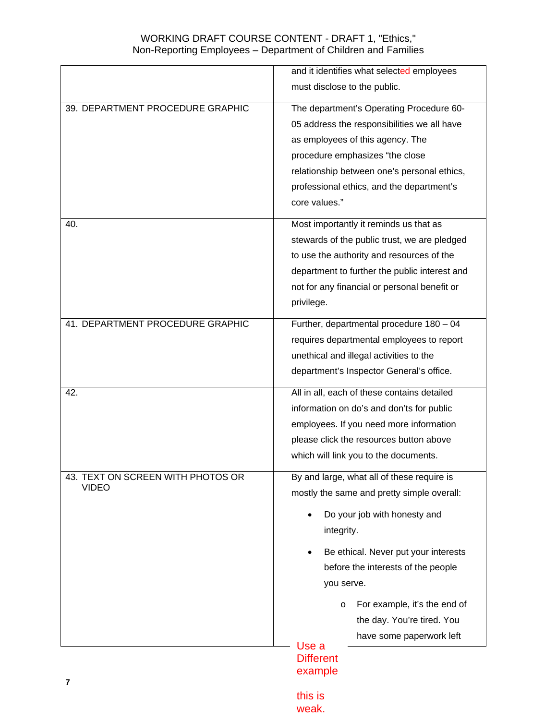|                                                   | and it identifies what selected employees<br>must disclose to the public.                                                                                                                                                                                                                                                                        |
|---------------------------------------------------|--------------------------------------------------------------------------------------------------------------------------------------------------------------------------------------------------------------------------------------------------------------------------------------------------------------------------------------------------|
| 39. DEPARTMENT PROCEDURE GRAPHIC                  | The department's Operating Procedure 60-<br>05 address the responsibilities we all have<br>as employees of this agency. The<br>procedure emphasizes "the close<br>relationship between one's personal ethics,<br>professional ethics, and the department's<br>core values."                                                                      |
| 40.                                               | Most importantly it reminds us that as<br>stewards of the public trust, we are pledged<br>to use the authority and resources of the<br>department to further the public interest and<br>not for any financial or personal benefit or<br>privilege.                                                                                               |
| 41. DEPARTMENT PROCEDURE GRAPHIC                  | Further, departmental procedure 180 - 04<br>requires departmental employees to report<br>unethical and illegal activities to the<br>department's Inspector General's office.                                                                                                                                                                     |
| 42.                                               | All in all, each of these contains detailed<br>information on do's and don'ts for public<br>employees. If you need more information<br>please click the resources button above<br>which will link you to the documents.                                                                                                                          |
| 43. TEXT ON SCREEN WITH PHOTOS OR<br><b>VIDEO</b> | By and large, what all of these require is<br>mostly the same and pretty simple overall:<br>Do your job with honesty and<br>integrity.<br>Be ethical. Never put your interests<br>before the interests of the people<br>you serve.<br>For example, it's the end of<br>$\circ$<br>the day. You're tired. You<br>have some paperwork left<br>Use a |
| 7                                                 | <b>Different</b><br>example                                                                                                                                                                                                                                                                                                                      |

this is weak.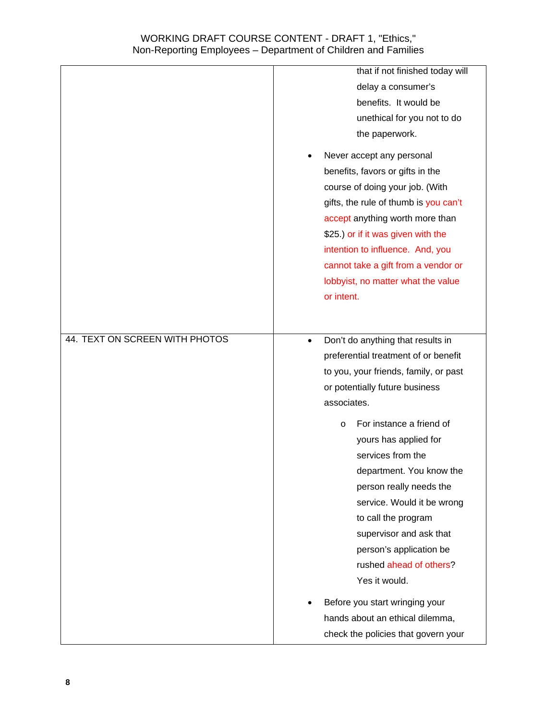|                                | that if not finished today will                |
|--------------------------------|------------------------------------------------|
|                                | delay a consumer's                             |
|                                | benefits. It would be                          |
|                                | unethical for you not to do                    |
|                                | the paperwork.                                 |
|                                | Never accept any personal                      |
|                                | benefits, favors or gifts in the               |
|                                | course of doing your job. (With                |
|                                | gifts, the rule of thumb is you can't          |
|                                | accept anything worth more than                |
|                                | \$25.) or if it was given with the             |
|                                | intention to influence. And, you               |
|                                | cannot take a gift from a vendor or            |
|                                | lobbyist, no matter what the value             |
|                                | or intent.                                     |
|                                |                                                |
|                                |                                                |
| 44. TEXT ON SCREEN WITH PHOTOS | Don't do anything that results in<br>$\bullet$ |
|                                | preferential treatment of or benefit           |
|                                | to you, your friends, family, or past          |
|                                | or potentially future business                 |
|                                | associates.                                    |
|                                | For instance a friend of<br>$\circ$            |
|                                | yours has applied for                          |
|                                | services from the                              |
|                                | department. You know the                       |
|                                | person really needs the                        |
|                                | service. Would it be wrong                     |
|                                | to call the program                            |
|                                | supervisor and ask that                        |
|                                | person's application be                        |
|                                | rushed ahead of others?                        |
|                                | Yes it would.                                  |
|                                |                                                |
|                                | Before you start wringing your                 |
|                                | hands about an ethical dilemma,                |
|                                |                                                |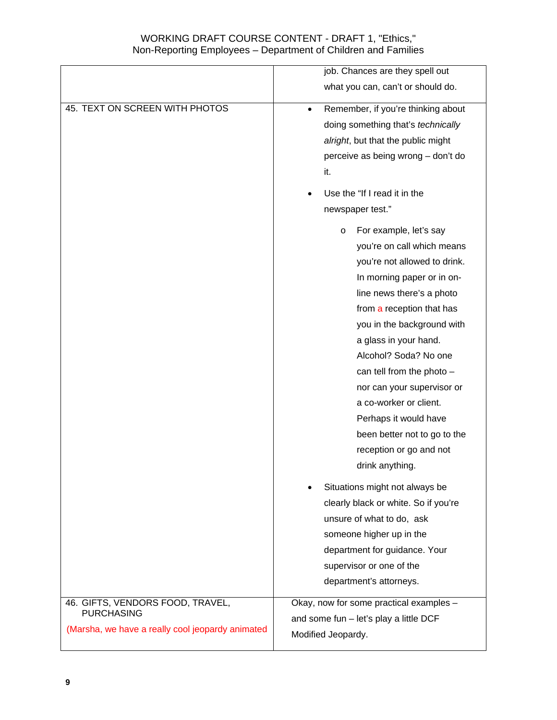|                                                  | job. Chances are they spell out                 |
|--------------------------------------------------|-------------------------------------------------|
|                                                  | what you can, can't or should do.               |
| 45. TEXT ON SCREEN WITH PHOTOS                   | Remember, if you're thinking about<br>$\bullet$ |
|                                                  | doing something that's technically              |
|                                                  | alright, but that the public might              |
|                                                  | perceive as being wrong - don't do              |
|                                                  | it.                                             |
|                                                  | Use the "If I read it in the                    |
|                                                  | newspaper test."                                |
|                                                  | For example, let's say<br>O                     |
|                                                  | you're on call which means                      |
|                                                  | you're not allowed to drink.                    |
|                                                  | In morning paper or in on-                      |
|                                                  | line news there's a photo                       |
|                                                  | from a reception that has                       |
|                                                  | you in the background with                      |
|                                                  | a glass in your hand.                           |
|                                                  | Alcohol? Soda? No one                           |
|                                                  | can tell from the photo $-$                     |
|                                                  | nor can your supervisor or                      |
|                                                  | a co-worker or client.                          |
|                                                  | Perhaps it would have                           |
|                                                  | been better not to go to the                    |
|                                                  | reception or go and not                         |
|                                                  | drink anything.                                 |
|                                                  | Situations might not always be                  |
|                                                  | clearly black or white. So if you're            |
|                                                  | unsure of what to do, ask                       |
|                                                  | someone higher up in the                        |
|                                                  | department for guidance. Your                   |
|                                                  | supervisor or one of the                        |
|                                                  | department's attorneys.                         |
| 46. GIFTS, VENDORS FOOD, TRAVEL,                 | Okay, now for some practical examples -         |
| <b>PURCHASING</b>                                | and some fun - let's play a little DCF          |
| (Marsha, we have a really cool jeopardy animated | Modified Jeopardy.                              |
|                                                  |                                                 |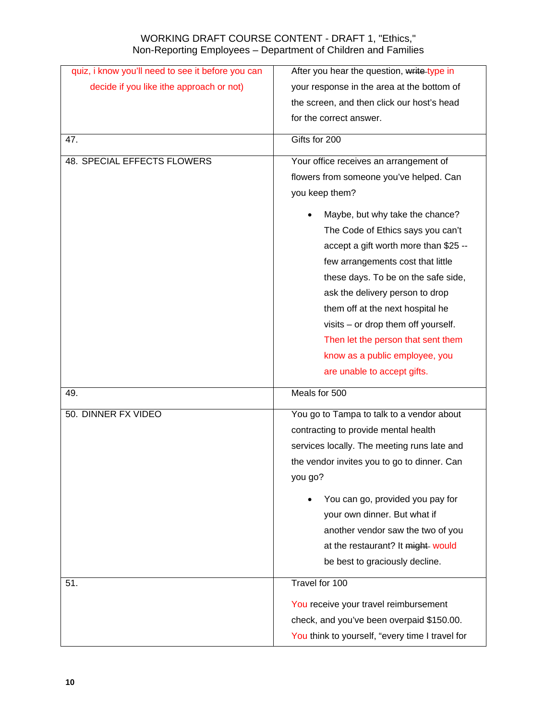| quiz, i know you'll need to see it before you can | After you hear the question, write type in      |
|---------------------------------------------------|-------------------------------------------------|
| decide if you like ithe approach or not)          | your response in the area at the bottom of      |
|                                                   | the screen, and then click our host's head      |
|                                                   | for the correct answer.                         |
| 47.                                               | Gifts for 200                                   |
|                                                   |                                                 |
| 48. SPECIAL EFFECTS FLOWERS                       | Your office receives an arrangement of          |
|                                                   | flowers from someone you've helped. Can         |
|                                                   | you keep them?                                  |
|                                                   | Maybe, but why take the chance?                 |
|                                                   | The Code of Ethics says you can't               |
|                                                   | accept a gift worth more than \$25 --           |
|                                                   | few arrangements cost that little               |
|                                                   | these days. To be on the safe side,             |
|                                                   | ask the delivery person to drop                 |
|                                                   | them off at the next hospital he                |
|                                                   | visits - or drop them off yourself.             |
|                                                   | Then let the person that sent them              |
|                                                   | know as a public employee, you                  |
|                                                   | are unable to accept gifts.                     |
| 49.                                               | Meals for 500                                   |
| 50. DINNER FX VIDEO                               | You go to Tampa to talk to a vendor about       |
|                                                   | contracting to provide mental health            |
|                                                   | services locally. The meeting runs late and     |
|                                                   | the vendor invites you to go to dinner. Can     |
|                                                   | you go?                                         |
|                                                   | You can go, provided you pay for                |
|                                                   | your own dinner. But what if                    |
|                                                   | another vendor saw the two of you               |
|                                                   | at the restaurant? It might would               |
|                                                   | be best to graciously decline.                  |
| 51.                                               | Travel for 100                                  |
|                                                   | You receive your travel reimbursement           |
|                                                   | check, and you've been overpaid \$150.00.       |
|                                                   | You think to yourself, "every time I travel for |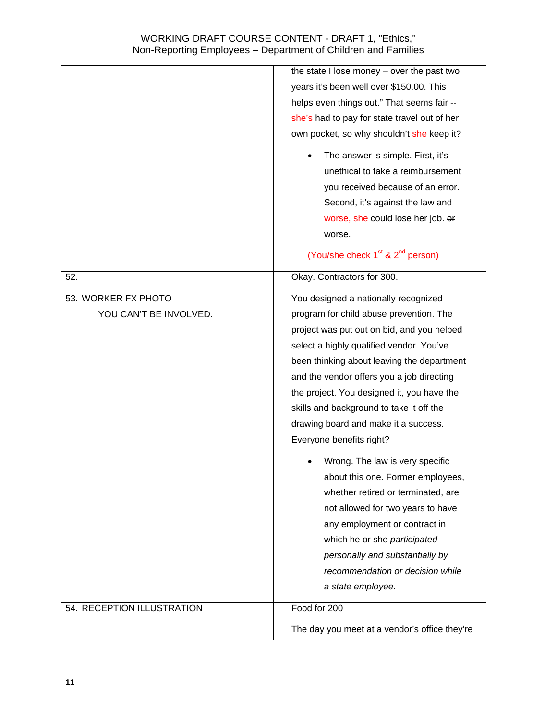|                            | the state I lose money - over the past two    |
|----------------------------|-----------------------------------------------|
|                            | years it's been well over \$150.00. This      |
|                            | helps even things out." That seems fair --    |
|                            | she's had to pay for state travel out of her  |
|                            | own pocket, so why shouldn't she keep it?     |
|                            | The answer is simple. First, it's             |
|                            | unethical to take a reimbursement             |
|                            | you received because of an error.             |
|                            | Second, it's against the law and              |
|                            | worse, she could lose her job. or             |
|                            | worse.                                        |
|                            | (You/she check $1st$ & $2nd$ person)          |
| 52.                        | Okay. Contractors for 300.                    |
| 53. WORKER FX PHOTO        | You designed a nationally recognized          |
| YOU CAN'T BE INVOLVED.     | program for child abuse prevention. The       |
|                            | project was put out on bid, and you helped    |
|                            | select a highly qualified vendor. You've      |
|                            | been thinking about leaving the department    |
|                            | and the vendor offers you a job directing     |
|                            | the project. You designed it, you have the    |
|                            | skills and background to take it off the      |
|                            | drawing board and make it a success.          |
|                            | Everyone benefits right?                      |
|                            | Wrong. The law is very specific               |
|                            | about this one. Former employees,             |
|                            | whether retired or terminated, are            |
|                            | not allowed for two years to have             |
|                            | any employment or contract in                 |
|                            | which he or she participated                  |
|                            | personally and substantially by               |
|                            | recommendation or decision while              |
|                            | a state employee.                             |
| 54. RECEPTION ILLUSTRATION | Food for 200                                  |
|                            | The day you meet at a vendor's office they're |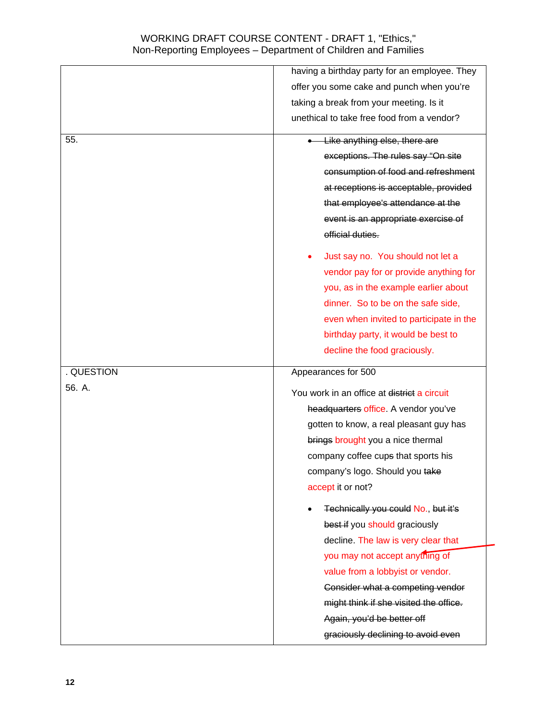|            | having a birthday party for an employee. They |
|------------|-----------------------------------------------|
|            | offer you some cake and punch when you're     |
|            | taking a break from your meeting. Is it       |
|            | unethical to take free food from a vendor?    |
| 55.        | Like anything else, there are                 |
|            | exceptions. The rules say "On site            |
|            | consumption of food and refreshment           |
|            | at receptions is acceptable, provided         |
|            | that employee's attendance at the             |
|            | event is an appropriate exercise of           |
|            | official duties.                              |
|            | Just say no. You should not let a             |
|            | vendor pay for or provide anything for        |
|            | you, as in the example earlier about          |
|            | dinner. So to be on the safe side,            |
|            | even when invited to participate in the       |
|            | birthday party, it would be best to           |
|            | decline the food graciously.                  |
| . QUESTION | Appearances for 500                           |
| 56. A.     | You work in an office at district a circuit   |
|            | headquarters office. A vendor you've          |
|            |                                               |
|            | gotten to know, a real pleasant guy has       |
|            | brings brought you a nice thermal             |
|            | company coffee cups that sports his           |
|            | company's logo. Should you take               |
|            | accept it or not?                             |
|            | Technically you could No., but it's           |
|            | best if you should graciously                 |
|            | decline. The law is very clear that           |
|            | you may not accept anything of                |
|            | value from a lobbyist or vendor.              |
|            | Consider what a competing vendor              |
|            | might think if she visited the office.        |
|            | Again, you'd be better off                    |